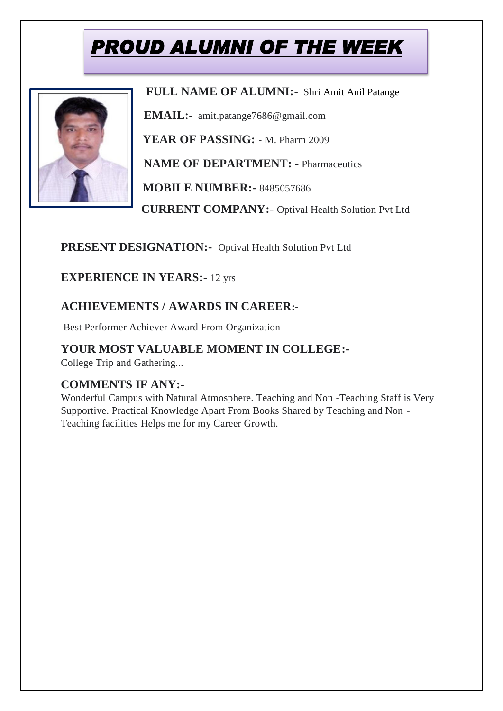# *PROUD ALUMNI OF THE WEEK*



 **FULL NAME OF ALUMNI:-** Shri Amit Anil Patange

 **EMAIL:-** amit.patange7686@gmail.com

 **YEAR OF PASSING: -** M. Pharm 2009

**NAME OF DEPARTMENT: -** Pharmaceutics

 **MOBILE NUMBER:-** 8485057686

 **CURRENT COMPANY:-** Optival Health Solution Pvt Ltd

**PRESENT DESIGNATION:-** Optival Health Solution Pvt Ltd

**EXPERIENCE IN YEARS:-** 12 yrs

#### **ACHIEVEMENTS / AWARDS IN CAREER:-**

Best Performer Achiever Award From Organization

### **YOUR MOST VALUABLE MOMENT IN COLLEGE:-**

College Trip and Gathering...

#### **COMMENTS IF ANY:-**

Wonderful Campus with Natural Atmosphere. Teaching and Non -Teaching Staff is Very Supportive. Practical Knowledge Apart From Books Shared by Teaching and Non - Teaching facilities Helps me for my Career Growth.